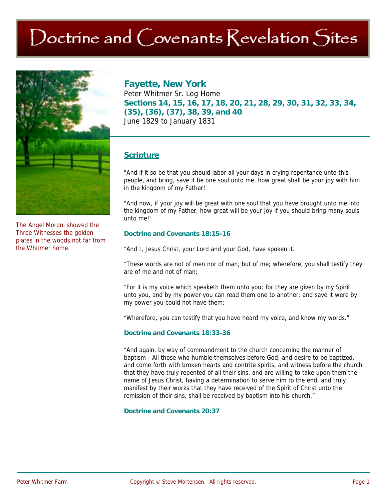# Doctrine and Covenants Revelation Sites



The Angel Moroni showed the Three Witnesses the golden plates in the woods not far from the Whitmer home.

# **Fayette, New York**

Peter Whitmer Sr. Log Home **Sections 14, 15, 16, 17, 18, 20, 21, 28, 29, 30, 31, 32, 33, 34, (35), (36), (37), 38, 39, and 40**  June 1829 to January 1831

# **Scripture**

"And if it so be that you should labor all your days in crying repentance unto this people, and bring, save it be one soul unto me, how great shall be your joy with him in the kingdom of my Father!

"And now, if your joy will be great with one soul that you have brought unto me into the kingdom of my Father, how great will be your joy if you should bring many souls unto me!"

#### **Doctrine and Covenants 18:15-16**

"And I, Jesus Christ, your Lord and your God, have spoken it.

"These words are not of men nor of man, but of me; wherefore, you shall testify they are of me and not of man;

"For it is my voice which speaketh them unto you; for they are given by my Spirit unto you, and by my power you can read them one to another; and save it were by my power you could not have them;

"Wherefore, you can testify that you have heard my voice, and know my words."

#### **Doctrine and Covenants 18:33-36**

"And again, by way of commandment to the church concerning the manner of baptism - All those who humble themselves before God, and desire to be baptized, and come forth with broken hearts and contrite spirits, and witness before the church that they have truly repented of all their sins, and are willing to take upon them the name of Jesus Christ, having a determination to serve him to the end, and truly manifest by their works that they have received of the Spirit of Christ unto the remission of their sins, shall be received by baptism into his church."

#### **Doctrine and Covenants 20:37**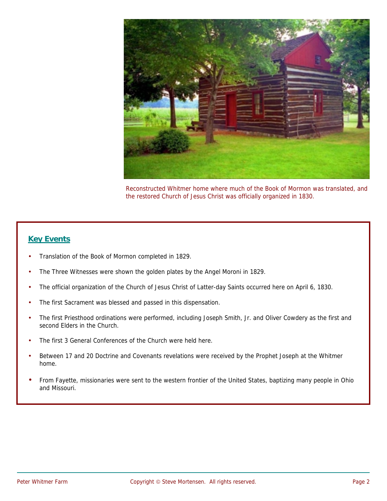

Reconstructed Whitmer home where much of the Book of Mormon was translated, and the restored Church of Jesus Christ was officially organized in 1830.

### **Key Events**

- Translation of the Book of Mormon completed in 1829.
- The Three Witnesses were shown the golden plates by the Angel Moroni in 1829.
- The official organization of the Church of Jesus Christ of Latter-day Saints occurred here on April 6, 1830.
- The first Sacrament was blessed and passed in this dispensation.
- The first Priesthood ordinations were performed, including Joseph Smith, Jr. and Oliver Cowdery as the first and second Elders in the Church.
- The first 3 General Conferences of the Church were held here.
- Between 17 and 20 Doctrine and Covenants revelations were received by the Prophet Joseph at the Whitmer home.
- From Fayette, missionaries were sent to the western frontier of the United States, baptizing many people in Ohio and Missouri.